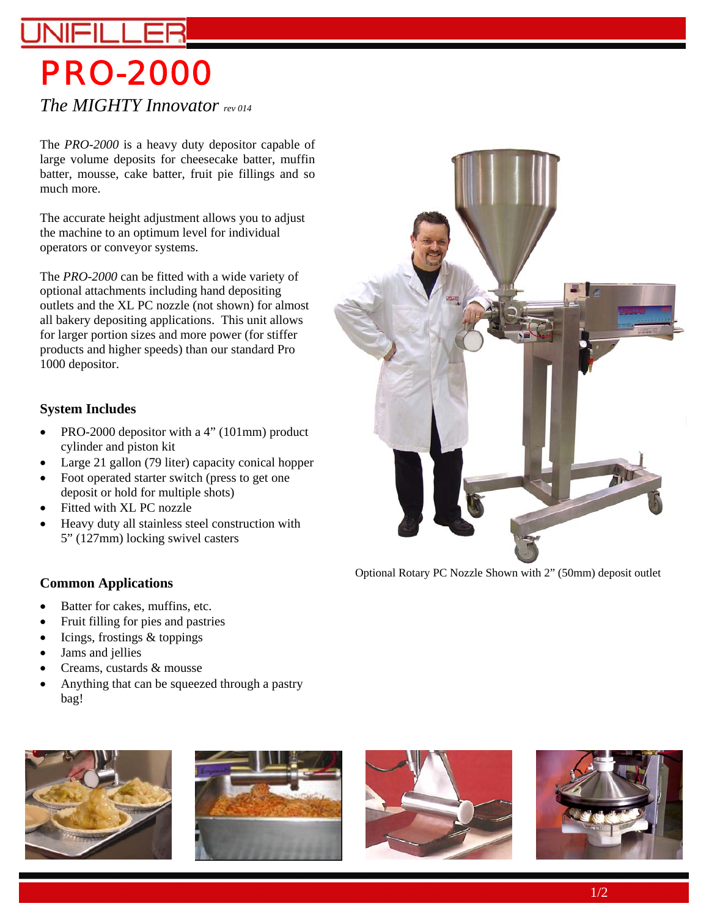# PRO-2000 *The MIGHTY Innovator rev 014*

The *PRO-2000* is a heavy duty depositor capable of large volume deposits for cheesecake batter, muffin batter, mousse, cake batter, fruit pie fillings and so much more.

The accurate height adjustment allows you to adjust the machine to an optimum level for individual operators or conveyor systems.

The *PRO-2000* can be fitted with a wide variety of optional attachments including hand depositing outlets and the XL PC nozzle (not shown) for almost all bakery depositing applications. This unit allows for larger portion sizes and more power (for stiffer products and higher speeds) than our standard Pro 1000 depositor.

### **System Includes**

- PRO-2000 depositor with a 4" (101mm) product cylinder and piston kit
- Large 21 gallon (79 liter) capacity conical hopper
- Foot operated starter switch (press to get one deposit or hold for multiple shots)
- Fitted with XL PC nozzle
- Heavy duty all stainless steel construction with 5" (127mm) locking swivel casters

#### **Common Applications**

- Batter for cakes, muffins, etc.
- Fruit filling for pies and pastries
- Icings, frostings & toppings
- Jams and jellies
- Creams, custards & mousse
- Anything that can be squeezed through a pastry bag!











Optional Rotary PC Nozzle Shown with 2" (50mm) deposit outlet